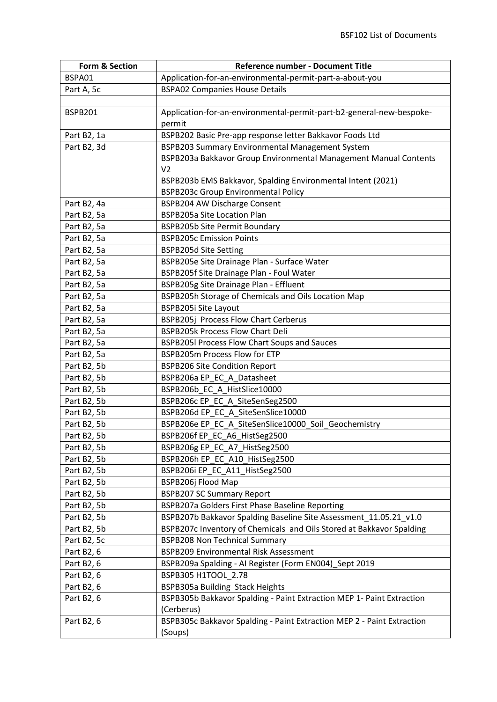| Form & Section | Reference number - Document Title                                      |
|----------------|------------------------------------------------------------------------|
| BSPA01         | Application-for-an-environmental-permit-part-a-about-you               |
| Part A, 5c     | <b>BSPA02 Companies House Details</b>                                  |
|                |                                                                        |
| <b>BSPB201</b> | Application-for-an-environmental-permit-part-b2-general-new-bespoke-   |
|                | permit                                                                 |
| Part B2, 1a    | BSPB202 Basic Pre-app response letter Bakkavor Foods Ltd               |
| Part B2, 3d    | BSPB203 Summary Environmental Management System                        |
|                | BSPB203a Bakkavor Group Environmental Management Manual Contents       |
|                | V <sub>2</sub>                                                         |
|                | BSPB203b EMS Bakkavor, Spalding Environmental Intent (2021)            |
|                | <b>BSPB203c Group Environmental Policy</b>                             |
| Part B2, 4a    | BSPB204 AW Discharge Consent                                           |
| Part B2, 5a    | <b>BSPB205a Site Location Plan</b>                                     |
| Part B2, 5a    | <b>BSPB205b Site Permit Boundary</b>                                   |
| Part B2, 5a    | <b>BSPB205c Emission Points</b>                                        |
| Part B2, 5a    | <b>BSPB205d Site Setting</b>                                           |
| Part B2, 5a    | BSPB205e Site Drainage Plan - Surface Water                            |
| Part B2, 5a    | BSPB205f Site Drainage Plan - Foul Water                               |
| Part B2, 5a    | BSPB205g Site Drainage Plan - Effluent                                 |
| Part B2, 5a    | BSPB205h Storage of Chemicals and Oils Location Map                    |
| Part B2, 5a    | BSPB205i Site Layout                                                   |
| Part B2, 5a    | BSPB205j Process Flow Chart Cerberus                                   |
| Part B2, 5a    | <b>BSPB205k Process Flow Chart Deli</b>                                |
| Part B2, 5a    | <b>BSPB205I Process Flow Chart Soups and Sauces</b>                    |
| Part B2, 5a    | BSPB205m Process Flow for ETP                                          |
| Part B2, 5b    | <b>BSPB206 Site Condition Report</b>                                   |
| Part B2, 5b    | BSPB206a EP_EC_A_Datasheet                                             |
| Part B2, 5b    | BSPB206b_EC_A_HistSlice10000                                           |
| Part B2, 5b    | BSPB206c EP_EC_A_SiteSenSeg2500                                        |
| Part B2, 5b    | BSPB206d EP EC A SiteSenSlice10000                                     |
| Part B2, 5b    | BSPB206e EP_EC_A_SiteSenSlice10000_Soil_Geochemistry                   |
| Part B2, 5b    | BSPB206f EP_EC_A6_HistSeg2500                                          |
| Part B2, 5b    | BSPB206g EP_EC_A7_HistSeg2500                                          |
| Part B2, 5b    | BSPB206h EP_EC_A10_HistSeg2500                                         |
| Part B2, 5b    | BSPB206i EP_EC_A11_HistSeg2500                                         |
| Part B2, 5b    | BSPB206j Flood Map                                                     |
| Part B2, 5b    | <b>BSPB207 SC Summary Report</b>                                       |
| Part B2, 5b    | BSPB207a Golders First Phase Baseline Reporting                        |
| Part B2, 5b    | BSPB207b Bakkavor Spalding Baseline Site Assessment_11.05.21_v1.0      |
| Part B2, 5b    | BSPB207c Inventory of Chemicals and Oils Stored at Bakkavor Spalding   |
| Part B2, 5c    | <b>BSPB208 Non Technical Summary</b>                                   |
| Part B2, 6     | <b>BSPB209 Environmental Risk Assessment</b>                           |
| Part B2, 6     | BSPB209a Spalding - AI Register (Form EN004)_Sept 2019                 |
| Part B2, 6     | BSPB305 H1TOOL 2.78                                                    |
| Part B2, 6     | BSPB305a Building Stack Heights                                        |
| Part B2, 6     | BSPB305b Bakkavor Spalding - Paint Extraction MEP 1- Paint Extraction  |
|                | (Cerberus)                                                             |
| Part B2, 6     | BSPB305c Bakkavor Spalding - Paint Extraction MEP 2 - Paint Extraction |
|                | (Soups)                                                                |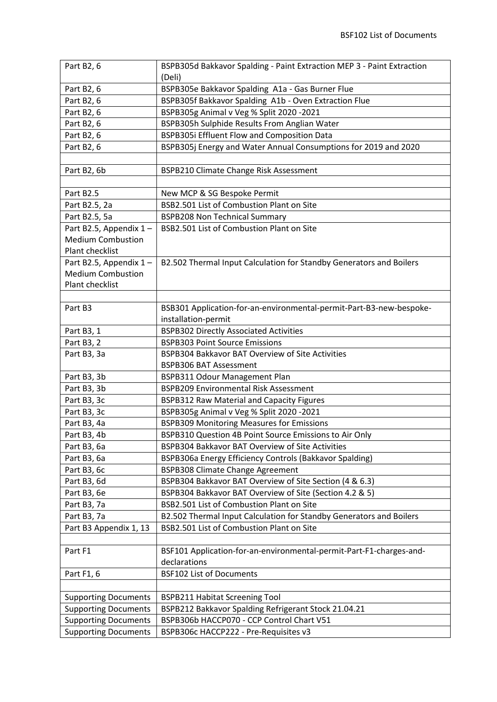| Part B2, 6                  | BSPB305d Bakkavor Spalding - Paint Extraction MEP 3 - Paint Extraction |
|-----------------------------|------------------------------------------------------------------------|
|                             | (Deli)                                                                 |
| Part B2, 6                  | BSPB305e Bakkavor Spalding A1a - Gas Burner Flue                       |
| Part B2, 6                  | BSPB305f Bakkavor Spalding A1b - Oven Extraction Flue                  |
| Part B2, 6                  | BSPB305g Animal v Veg % Split 2020 -2021                               |
| Part B2, 6                  | BSPB305h Sulphide Results From Anglian Water                           |
| Part B2, 6                  | BSPB305i Effluent Flow and Composition Data                            |
| Part B2, 6                  | BSPB305j Energy and Water Annual Consumptions for 2019 and 2020        |
|                             |                                                                        |
| Part B2, 6b                 | BSPB210 Climate Change Risk Assessment                                 |
|                             |                                                                        |
| Part B2.5                   | New MCP & SG Bespoke Permit                                            |
| Part B2.5, 2a               | BSB2.501 List of Combustion Plant on Site                              |
| Part B2.5, 5a               | <b>BSPB208 Non Technical Summary</b>                                   |
| Part B2.5, Appendix 1-      | BSB2.501 List of Combustion Plant on Site                              |
| <b>Medium Combustion</b>    |                                                                        |
| Plant checklist             |                                                                        |
| Part B2.5, Appendix 1-      | B2.502 Thermal Input Calculation for Standby Generators and Boilers    |
| <b>Medium Combustion</b>    |                                                                        |
| Plant checklist             |                                                                        |
|                             |                                                                        |
| Part B3                     | BSB301 Application-for-an-environmental-permit-Part-B3-new-bespoke-    |
|                             | installation-permit                                                    |
| Part B3, 1                  | <b>BSPB302 Directly Associated Activities</b>                          |
| Part B3, 2                  | <b>BSPB303 Point Source Emissions</b>                                  |
| Part B3, 3a                 | BSPB304 Bakkavor BAT Overview of Site Activities                       |
|                             | <b>BSPB306 BAT Assessment</b>                                          |
| Part B3, 3b                 | BSPB311 Odour Management Plan                                          |
| Part B3, 3b                 | <b>BSPB209 Environmental Risk Assessment</b>                           |
| Part B3, 3c                 | <b>BSPB312 Raw Material and Capacity Figures</b>                       |
| Part B3, 3c                 | BSPB305g Animal v Veg % Split 2020 -2021                               |
| Part B3, 4a                 | <b>BSPB309 Monitoring Measures for Emissions</b>                       |
| Part B3, 4b                 | BSPB310 Question 4B Point Source Emissions to Air Only                 |
| Part B3, 6a                 | BSPB304 Bakkavor BAT Overview of Site Activities                       |
| Part B3, 6a                 | BSPB306a Energy Efficiency Controls (Bakkavor Spalding)                |
| Part B3, 6c                 | <b>BSPB308 Climate Change Agreement</b>                                |
| Part B3, 6d                 | BSPB304 Bakkavor BAT Overview of Site Section (4 & 6.3)                |
| Part B3, 6e                 | BSPB304 Bakkavor BAT Overview of Site (Section 4.2 & 5)                |
| Part B3, 7a                 | BSB2.501 List of Combustion Plant on Site                              |
| Part B3, 7a                 | B2.502 Thermal Input Calculation for Standby Generators and Boilers    |
| Part B3 Appendix 1, 13      | BSB2.501 List of Combustion Plant on Site                              |
|                             |                                                                        |
| Part F1                     | BSF101 Application-for-an-environmental-permit-Part-F1-charges-and-    |
|                             | declarations                                                           |
| Part F1, 6                  | <b>BSF102 List of Documents</b>                                        |
|                             |                                                                        |
| <b>Supporting Documents</b> | <b>BSPB211 Habitat Screening Tool</b>                                  |
| <b>Supporting Documents</b> | BSPB212 Bakkavor Spalding Refrigerant Stock 21.04.21                   |
| <b>Supporting Documents</b> | BSPB306b HACCP070 - CCP Control Chart V51                              |
| <b>Supporting Documents</b> | BSPB306c HACCP222 - Pre-Requisites v3                                  |